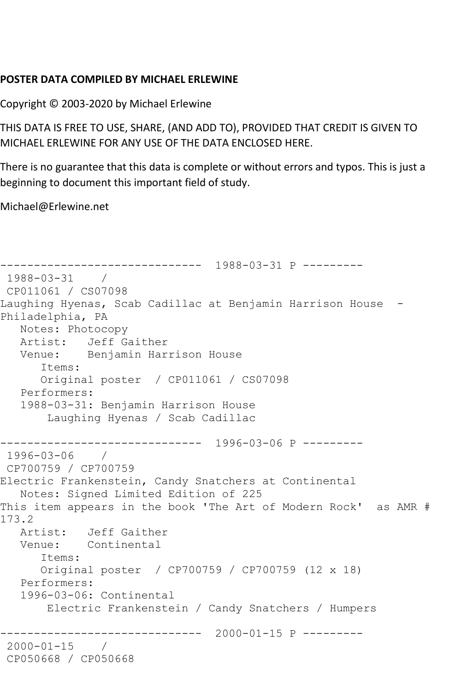## **POSTER DATA COMPILED BY MICHAEL ERLEWINE**

Copyright © 2003-2020 by Michael Erlewine

THIS DATA IS FREE TO USE, SHARE, (AND ADD TO), PROVIDED THAT CREDIT IS GIVEN TO MICHAEL ERLEWINE FOR ANY USE OF THE DATA ENCLOSED HERE.

There is no guarantee that this data is complete or without errors and typos. This is just a beginning to document this important field of study.

Michael@Erlewine.net

```
------------------------------ 1988-03-31 P ---------
1988-03-31 / 
CP011061 / CS07098
Laughing Hyenas, Scab Cadillac at Benjamin Harrison House -
Philadelphia, PA
   Notes: Photocopy
   Artist: Jeff Gaither
   Venue: Benjamin Harrison House
      Items:
      Original poster / CP011061 / CS07098
   Performers:
   1988-03-31: Benjamin Harrison House
       Laughing Hyenas / Scab Cadillac
------------------------------ 1996-03-06 P ---------
1996-03-06 / 
CP700759 / CP700759
Electric Frankenstein, Candy Snatchers at Continental
   Notes: Signed Limited Edition of 225
This item appears in the book 'The Art of Modern Rock' as AMR # 
173.2
   Artist: Jeff Gaither
   Venue: Continental
      Items:
      Original poster / CP700759 / CP700759 (12 x 18)
   Performers:
   1996-03-06: Continental
       Electric Frankenstein / Candy Snatchers / Humpers
------------------------------ 2000-01-15 P ---------
2000-01-15 / 
CP050668 / CP050668
```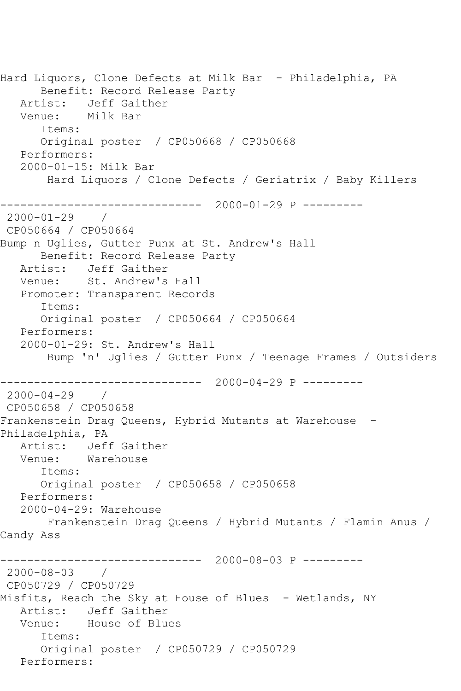Hard Liquors, Clone Defects at Milk Bar - Philadelphia, PA Benefit: Record Release Party Artist: Jeff Gaither Venue: Milk Bar Items: Original poster / CP050668 / CP050668 Performers: 2000-01-15: Milk Bar Hard Liquors / Clone Defects / Geriatrix / Baby Killers ------------------------------ 2000-01-29 P --------- 2000-01-29 / CP050664 / CP050664 Bump n Uglies, Gutter Punx at St. Andrew's Hall Benefit: Record Release Party Artist: Jeff Gaither Venue: St. Andrew's Hall Promoter: Transparent Records Items: Original poster / CP050664 / CP050664 Performers: 2000-01-29: St. Andrew's Hall Bump 'n' Uglies / Gutter Punx / Teenage Frames / Outsiders ------------------------------ 2000-04-29 P --------- 2000-04-29 / CP050658 / CP050658 Frankenstein Drag Queens, Hybrid Mutants at Warehouse - Philadelphia, PA Artist: Jeff Gaither<br>Venue: Warehouse Warehouse Items: Original poster / CP050658 / CP050658 Performers: 2000-04-29: Warehouse Frankenstein Drag Queens / Hybrid Mutants / Flamin Anus / Candy Ass ------------------------------ 2000-08-03 P --------- 2000-08-03 / CP050729 / CP050729 Misfits, Reach the Sky at House of Blues - Wetlands, NY Artist: Jeff Gaither<br>Venue: House of Blu House of Blues Items: Original poster / CP050729 / CP050729 Performers: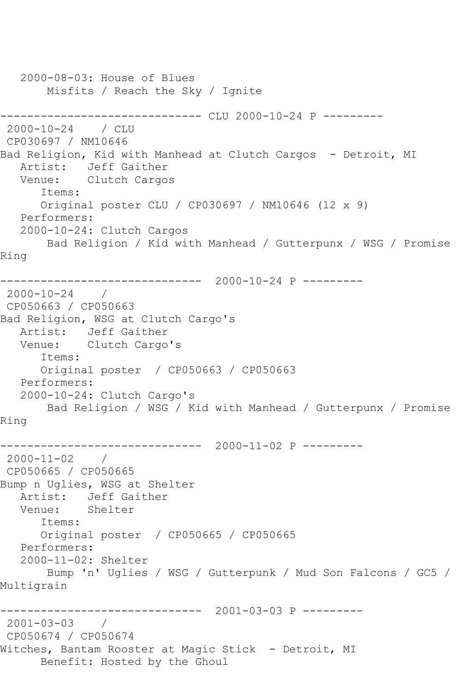```
 2000-08-03: House of Blues
       Misfits / Reach the Sky / Ignite
------------------------------ CLU 2000-10-24 P ---------
2000-10-24 / CLU 
CP030697 / NM10646
Bad Religion, Kid with Manhead at Clutch Cargos - Detroit, MI
   Artist: Jeff Gaither
   Venue: Clutch Cargos
      Items:
      Original poster CLU / CP030697 / NM10646 (12 x 9)
   Performers:
   2000-10-24: Clutch Cargos
       Bad Religion / Kid with Manhead / Gutterpunx / WSG / Promise 
Ring
------------------------------ 2000-10-24 P ---------
2000-10-24 / 
CP050663 / CP050663
Bad Religion, WSG at Clutch Cargo's
   Artist: Jeff Gaither
   Venue: Clutch Cargo's
      Items:
      Original poster / CP050663 / CP050663
   Performers:
   2000-10-24: Clutch Cargo's
       Bad Religion / WSG / Kid with Manhead / Gutterpunx / Promise 
Ring
------------------------------ 2000-11-02 P ---------
2000-11-02 / 
CP050665 / CP050665
Bump n Uglies, WSG at Shelter
   Artist: Jeff Gaither
   Venue: Shelter
      Items:
      Original poster / CP050665 / CP050665
   Performers:
   2000-11-02: Shelter
       Bump 'n' Uglies / WSG / Gutterpunk / Mud Son Falcons / GC5 / 
Multigrain
------------------------------ 2001-03-03 P ---------
2001-03-03 / 
CP050674 / CP050674
Witches, Bantam Rooster at Magic Stick - Detroit, MI
      Benefit: Hosted by the Ghoul
```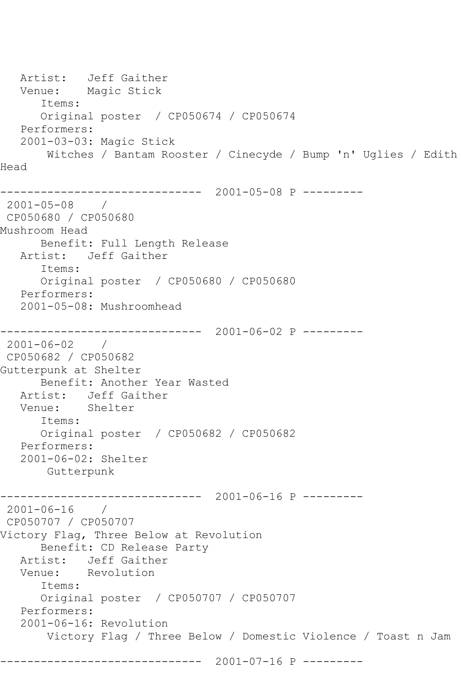Artist: Jeff Gaither Venue: Magic Stick Items: Original poster / CP050674 / CP050674 Performers: 2001-03-03: Magic Stick Witches / Bantam Rooster / Cinecyde / Bump 'n' Uglies / Edith Head ------------------------------ 2001-05-08 P --------- 2001-05-08 / CP050680 / CP050680 Mushroom Head Benefit: Full Length Release Artist: Jeff Gaither Items: Original poster / CP050680 / CP050680 Performers: 2001-05-08: Mushroomhead ------------------------------ 2001-06-02 P --------- 2001-06-02 / CP050682 / CP050682 Gutterpunk at Shelter Benefit: Another Year Wasted Artist: Jeff Gaither Venue: Shelter Items: Original poster / CP050682 / CP050682 Performers: 2001-06-02: Shelter Gutterpunk ------------------------------ 2001-06-16 P --------- 2001-06-16 / CP050707 / CP050707 Victory Flag, Three Below at Revolution Benefit: CD Release Party Artist: Jeff Gaither Venue: Revolution Items: Original poster / CP050707 / CP050707 Performers: 2001-06-16: Revolution Victory Flag / Three Below / Domestic Violence / Toast n Jam ------------------------------ 2001-07-16 P ---------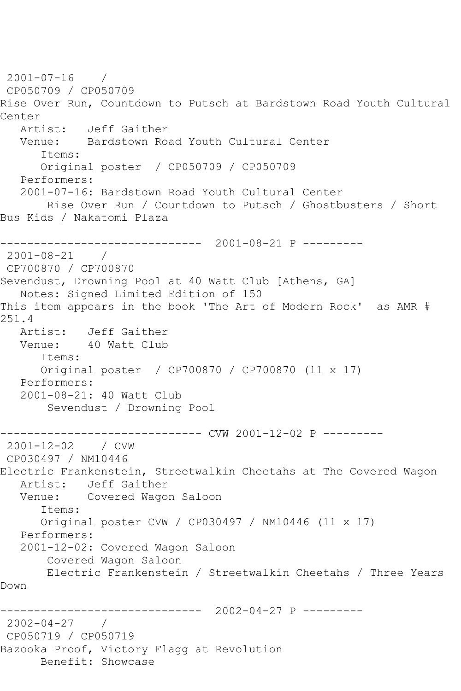2001-07-16 / CP050709 / CP050709 Rise Over Run, Countdown to Putsch at Bardstown Road Youth Cultural Center<br>Artist: Artist: Jeff Gaither Venue: Bardstown Road Youth Cultural Center Items: Original poster / CP050709 / CP050709 Performers: 2001-07-16: Bardstown Road Youth Cultural Center Rise Over Run / Countdown to Putsch / Ghostbusters / Short Bus Kids / Nakatomi Plaza ------------------------------ 2001-08-21 P --------- 2001-08-21 / CP700870 / CP700870 Sevendust, Drowning Pool at 40 Watt Club [Athens, GA] Notes: Signed Limited Edition of 150 This item appears in the book 'The Art of Modern Rock' as AMR # 251.4 Artist: Jeff Gaither Venue: 40 Watt Club Items: Original poster / CP700870 / CP700870 (11 x 17) Performers: 2001-08-21: 40 Watt Club Sevendust / Drowning Pool ------------------------------ CVW 2001-12-02 P --------- 2001-12-02 / CVW CP030497 / NM10446 Electric Frankenstein, Streetwalkin Cheetahs at The Covered Wagon Artist: Jeff Gaither<br>Venue: Covered Wago Covered Wagon Saloon Items: Original poster CVW / CP030497 / NM10446 (11 x 17) Performers: 2001-12-02: Covered Wagon Saloon Covered Wagon Saloon Electric Frankenstein / Streetwalkin Cheetahs / Three Years Down ------------------------------ 2002-04-27 P --------- 2002-04-27 / CP050719 / CP050719 Bazooka Proof, Victory Flagg at Revolution Benefit: Showcase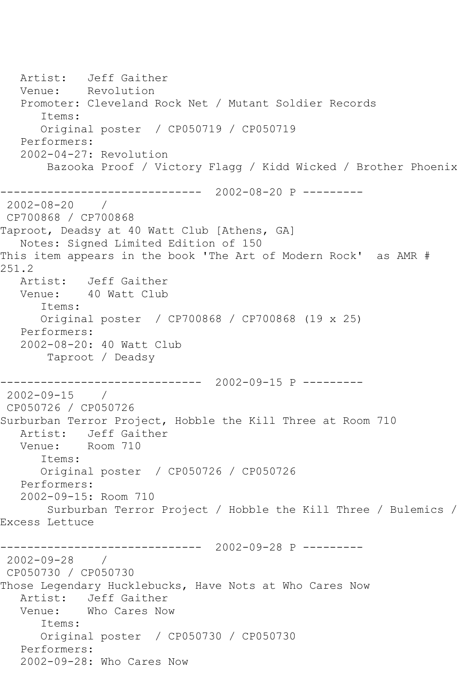Artist: Jeff Gaither Venue: Revolution Promoter: Cleveland Rock Net / Mutant Soldier Records Items: Original poster / CP050719 / CP050719 Performers: 2002-04-27: Revolution Bazooka Proof / Victory Flagg / Kidd Wicked / Brother Phoenix ------------------------------ 2002-08-20 P --------- 2002-08-20 / CP700868 / CP700868 Taproot, Deadsy at 40 Watt Club [Athens, GA] Notes: Signed Limited Edition of 150 This item appears in the book 'The Art of Modern Rock' as AMR # 251.2 Artist: Jeff Gaither Venue: 40 Watt Club Items: Original poster / CP700868 / CP700868 (19 x 25) Performers: 2002-08-20: 40 Watt Club Taproot / Deadsy ------------------------------ 2002-09-15 P --------- 2002-09-15 / CP050726 / CP050726 Surburban Terror Project, Hobble the Kill Three at Room 710 Artist: Jeff Gaither Venue: Room 710 Items: Original poster / CP050726 / CP050726 Performers: 2002-09-15: Room 710 Surburban Terror Project / Hobble the Kill Three / Bulemics / Excess Lettuce ------------------------------ 2002-09-28 P --------- 2002-09-28 / CP050730 / CP050730 Those Legendary Hucklebucks, Have Nots at Who Cares Now Artist: Jeff Gaither Venue: Who Cares Now Items: Original poster / CP050730 / CP050730 Performers: 2002-09-28: Who Cares Now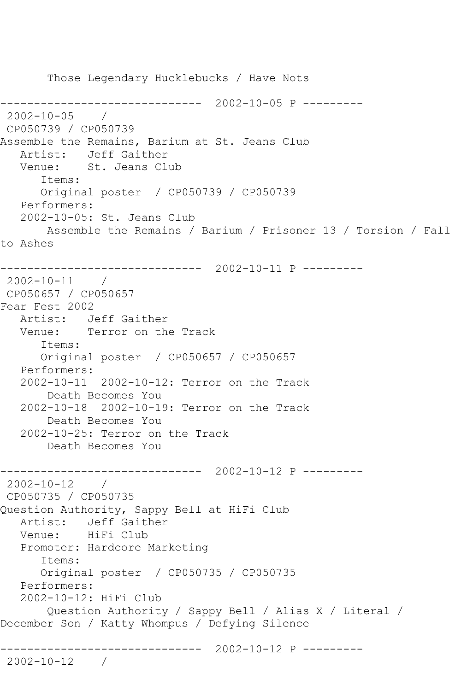Those Legendary Hucklebucks / Have Nots ------------------------------ 2002-10-05 P --------- 2002-10-05 / CP050739 / CP050739 Assemble the Remains, Barium at St. Jeans Club Artist: Jeff Gaither Venue: St. Jeans Club Items: Original poster / CP050739 / CP050739 Performers: 2002-10-05: St. Jeans Club Assemble the Remains / Barium / Prisoner 13 / Torsion / Fall to Ashes ------------------------------ 2002-10-11 P --------- 2002-10-11 / CP050657 / CP050657 Fear Fest 2002 Artist: Jeff Gaither Venue: Terror on the Track Items: Original poster / CP050657 / CP050657 Performers: 2002-10-11 2002-10-12: Terror on the Track Death Becomes You 2002-10-18 2002-10-19: Terror on the Track Death Becomes You 2002-10-25: Terror on the Track Death Becomes You ------------------------------ 2002-10-12 P --------- 2002-10-12 / CP050735 / CP050735 Question Authority, Sappy Bell at HiFi Club Artist: Jeff Gaither Venue: HiFi Club Promoter: Hardcore Marketing Items: Original poster / CP050735 / CP050735 Performers: 2002-10-12: HiFi Club Question Authority / Sappy Bell / Alias X / Literal / December Son / Katty Whompus / Defying Silence ------------------------------ 2002-10-12 P --------- 2002-10-12 /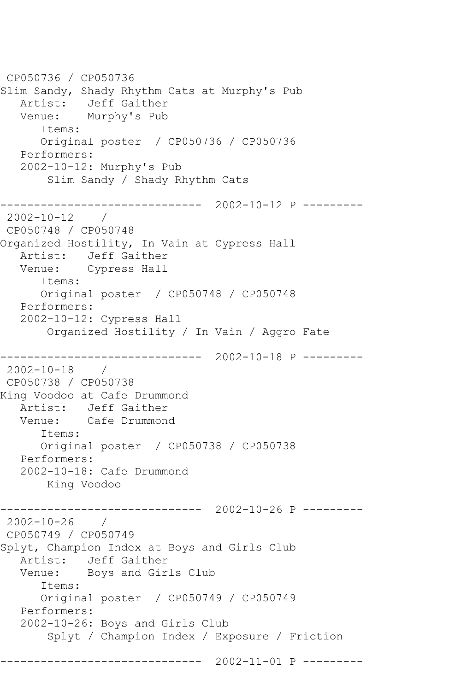CP050736 / CP050736 Slim Sandy, Shady Rhythm Cats at Murphy's Pub Artist: Jeff Gaither Venue: Murphy's Pub Items: Original poster / CP050736 / CP050736 Performers: 2002-10-12: Murphy's Pub Slim Sandy / Shady Rhythm Cats ------------------------------ 2002-10-12 P --------- 2002-10-12 / CP050748 / CP050748 Organized Hostility, In Vain at Cypress Hall Artist: Jeff Gaither Venue: Cypress Hall Items: Original poster / CP050748 / CP050748 Performers: 2002-10-12: Cypress Hall Organized Hostility / In Vain / Aggro Fate ------------------------------ 2002-10-18 P --------- 2002-10-18 / CP050738 / CP050738 King Voodoo at Cafe Drummond Artist: Jeff Gaither Venue: Cafe Drummond Items: Original poster / CP050738 / CP050738 Performers: 2002-10-18: Cafe Drummond King Voodoo ------------------------------ 2002-10-26 P --------- 2002-10-26 / CP050749 / CP050749 Splyt, Champion Index at Boys and Girls Club Artist: Jeff Gaither<br>Venue: Boys and Gir. Boys and Girls Club Items: Original poster / CP050749 / CP050749 Performers: 2002-10-26: Boys and Girls Club Splyt / Champion Index / Exposure / Friction ------------------------------ 2002-11-01 P ---------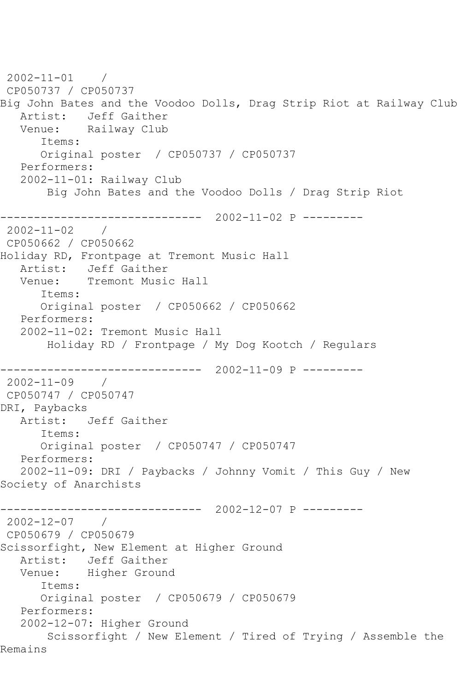2002-11-01 / CP050737 / CP050737 Big John Bates and the Voodoo Dolls, Drag Strip Riot at Railway Club Artist: Jeff Gaither<br>Venue: Railway Club Railway Club Items: Original poster / CP050737 / CP050737 Performers: 2002-11-01: Railway Club Big John Bates and the Voodoo Dolls / Drag Strip Riot ------------------------------ 2002-11-02 P --------- 2002-11-02 / CP050662 / CP050662 Holiday RD, Frontpage at Tremont Music Hall Artist: Jeff Gaither Venue: Tremont Music Hall Items: Original poster / CP050662 / CP050662 Performers: 2002-11-02: Tremont Music Hall Holiday RD / Frontpage / My Dog Kootch / Regulars ------------------------------ 2002-11-09 P --------- 2002-11-09 / CP050747 / CP050747 DRI, Paybacks Artist: Jeff Gaither Items: Original poster / CP050747 / CP050747 Performers: 2002-11-09: DRI / Paybacks / Johnny Vomit / This Guy / New Society of Anarchists ------------------------------ 2002-12-07 P --------- 2002-12-07 / CP050679 / CP050679 Scissorfight, New Element at Higher Ground Artist: Jeff Gaither<br>Venue: Higher Groun Higher Ground Items: Original poster / CP050679 / CP050679 Performers: 2002-12-07: Higher Ground Scissorfight / New Element / Tired of Trying / Assemble the Remains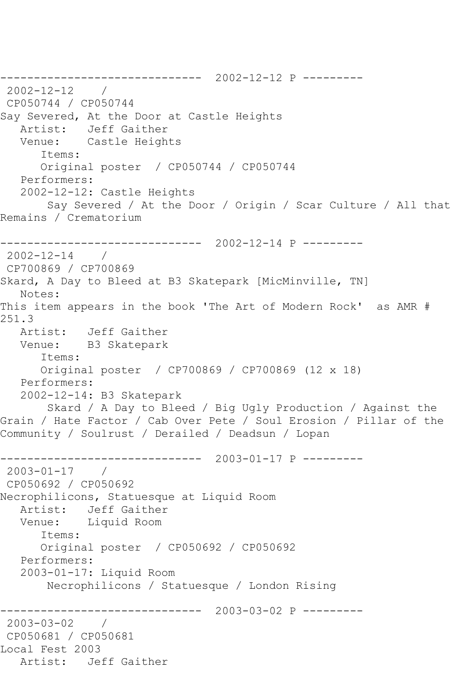------------------------------ 2002-12-12 P --------- 2002-12-12 / CP050744 / CP050744 Say Severed, At the Door at Castle Heights Artist: Jeff Gaither Venue: Castle Heights Items: Original poster / CP050744 / CP050744 Performers: 2002-12-12: Castle Heights Say Severed / At the Door / Origin / Scar Culture / All that Remains / Crematorium ------------------------------ 2002-12-14 P --------- 2002-12-14 / CP700869 / CP700869 Skard, A Day to Bleed at B3 Skatepark [MicMinville, TN] Notes: This item appears in the book 'The Art of Modern Rock' as AMR # 251.3 Artist: Jeff Gaither Venue: B3 Skatepark Items: Original poster / CP700869 / CP700869 (12 x 18) Performers: 2002-12-14: B3 Skatepark Skard / A Day to Bleed / Big Ugly Production / Against the Grain / Hate Factor / Cab Over Pete / Soul Erosion / Pillar of the Community / Soulrust / Derailed / Deadsun / Lopan ------------------------------ 2003-01-17 P --------- 2003-01-17 / CP050692 / CP050692 Necrophilicons, Statuesque at Liquid Room Artist: Jeff Gaither Venue: Liquid Room Items: Original poster / CP050692 / CP050692 Performers: 2003-01-17: Liquid Room Necrophilicons / Statuesque / London Rising ------------------------------ 2003-03-02 P --------- 2003-03-02 / CP050681 / CP050681 Local Fest 2003 Artist: Jeff Gaither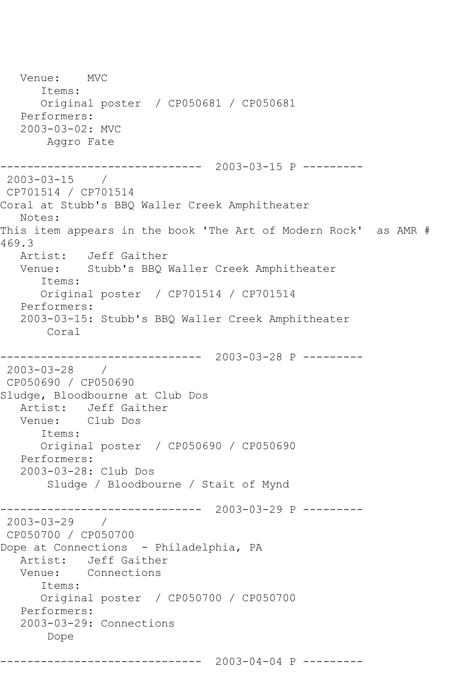```
 Venue: MVC
       Items:
       Original poster / CP050681 / CP050681
   Performers:
    2003-03-02: MVC
        Aggro Fate
------------------------------ 2003-03-15 P ---------
2003-03-15 / 
CP701514 / CP701514
Coral at Stubb's BBQ Waller Creek Amphitheater
   Notes: 
This item appears in the book 'The Art of Modern Rock' as AMR # 
469.3
   Artist: Jeff Gaither
   Venue: Stubb's BBQ Waller Creek Amphitheater
       Items:
       Original poster / CP701514 / CP701514
   Performers:
    2003-03-15: Stubb's BBQ Waller Creek Amphitheater
        Coral
           ------------------------------ 2003-03-28 P ---------
2003-03-28 / 
CP050690 / CP050690
Sludge, Bloodbourne at Club Dos
   Artist: Jeff Gaither
   Venue: Club Dos
       Items:
       Original poster / CP050690 / CP050690
   Performers:
    2003-03-28: Club Dos
        Sludge / Bloodbourne / Stait of Mynd
                   ------------------------------ 2003-03-29 P ---------
2003-03-29 / 
CP050700 / CP050700
Dope at Connections - Philadelphia, PA
  Artist: Jeff Gaither<br>Venue: Connections
            Connections
       Items:
       Original poster / CP050700 / CP050700
   Performers:
    2003-03-29: Connections
        Dope
```
------------------------------ 2003-04-04 P ---------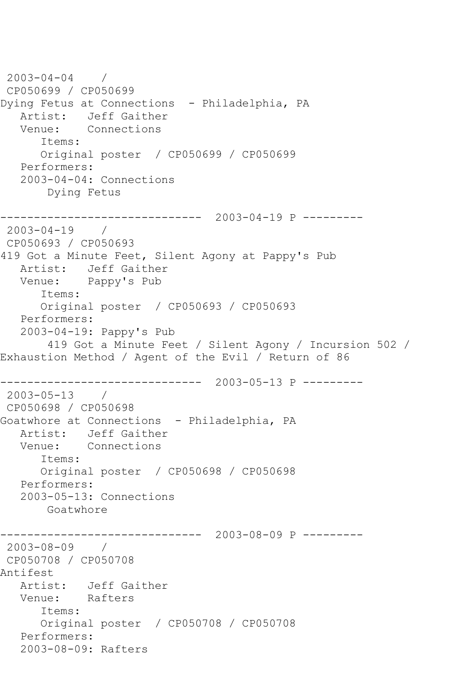```
2003-04-04 / 
CP050699 / CP050699
Dying Fetus at Connections - Philadelphia, PA
   Artist: Jeff Gaither
   Venue: Connections
      Items:
      Original poster / CP050699 / CP050699
   Performers:
   2003-04-04: Connections
       Dying Fetus
------------------------------ 2003-04-19 P ---------
2003-04-19 / 
CP050693 / CP050693
419 Got a Minute Feet, Silent Agony at Pappy's Pub
   Artist: Jeff Gaither
   Venue: Pappy's Pub
      Items:
      Original poster / CP050693 / CP050693
   Performers:
   2003-04-19: Pappy's Pub
        419 Got a Minute Feet / Silent Agony / Incursion 502 / 
Exhaustion Method / Agent of the Evil / Return of 86
               ------------------------------ 2003-05-13 P ---------
2003-05-13 / 
CP050698 / CP050698
Goatwhore at Connections - Philadelphia, PA
   Artist: Jeff Gaither
   Venue: Connections
      Items:
      Original poster / CP050698 / CP050698
   Performers:
   2003-05-13: Connections
       Goatwhore
------------------------------ 2003-08-09 P ---------
2003-08-09 / 
CP050708 / CP050708
Antifest
   Artist: Jeff Gaither
   Venue: Rafters
      Items:
      Original poster / CP050708 / CP050708
   Performers:
   2003-08-09: Rafters
```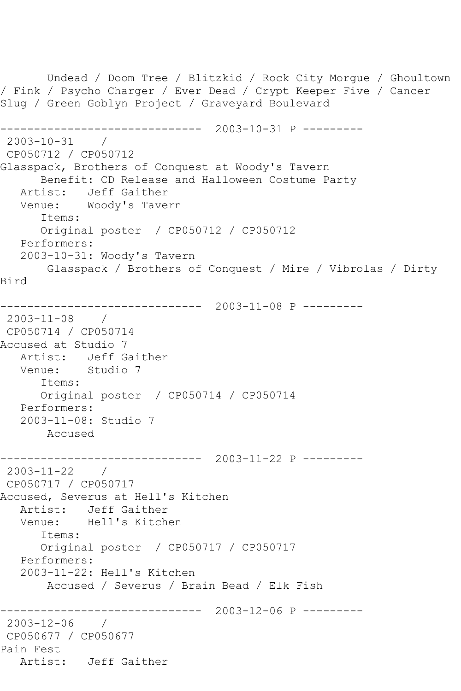Undead / Doom Tree / Blitzkid / Rock City Morgue / Ghoultown / Fink / Psycho Charger / Ever Dead / Crypt Keeper Five / Cancer Slug / Green Goblyn Project / Graveyard Boulevard ------------------------------ 2003-10-31 P --------- 2003-10-31 / CP050712 / CP050712 Glasspack, Brothers of Conquest at Woody's Tavern Benefit: CD Release and Halloween Costume Party Artist: Jeff Gaither Venue: Woody's Tavern Items: Original poster / CP050712 / CP050712 Performers: 2003-10-31: Woody's Tavern Glasspack / Brothers of Conquest / Mire / Vibrolas / Dirty Bird ------------------------------ 2003-11-08 P --------- 2003-11-08 / CP050714 / CP050714 Accused at Studio 7 Artist: Jeff Gaither Venue: Studio 7 Items: Original poster / CP050714 / CP050714 Performers: 2003-11-08: Studio 7 Accused ------------------------------ 2003-11-22 P --------- 2003-11-22 / CP050717 / CP050717 Accused, Severus at Hell's Kitchen Artist: Jeff Gaither Venue: Hell's Kitchen Items: Original poster / CP050717 / CP050717 Performers: 2003-11-22: Hell's Kitchen Accused / Severus / Brain Bead / Elk Fish ------------------------------ 2003-12-06 P --------- 2003-12-06 / CP050677 / CP050677 Pain Fest Artist: Jeff Gaither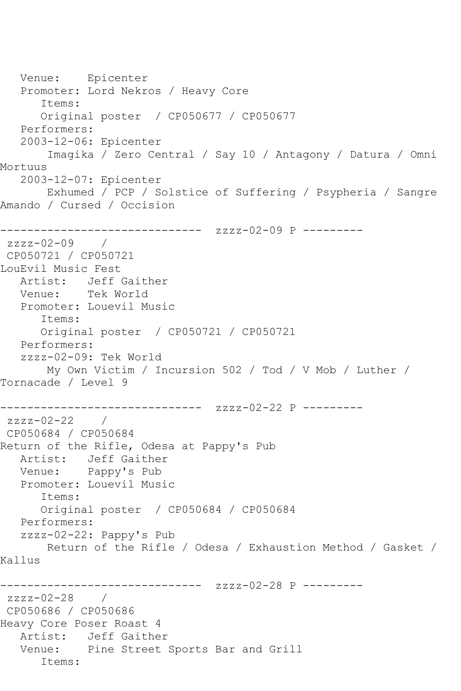Venue: Epicenter Promoter: Lord Nekros / Heavy Core Items: Original poster / CP050677 / CP050677 Performers: 2003-12-06: Epicenter Imagika / Zero Central / Say 10 / Antagony / Datura / Omni Mortuus 2003-12-07: Epicenter Exhumed / PCP / Solstice of Suffering / Psypheria / Sangre Amando / Cursed / Occision ------------------------------ zzzz-02-09 P -------- zzzz-02-09 / CP050721 / CP050721 LouEvil Music Fest Artist: Jeff Gaither Venue: Tek World Promoter: Louevil Music Items: Original poster / CP050721 / CP050721 Performers: zzzz-02-09: Tek World My Own Victim / Incursion 502 / Tod / V Mob / Luther / Tornacade / Level 9 ------------------------------ zzzz-02-22 P -------- zzzz-02-22 / CP050684 / CP050684 Return of the Rifle, Odesa at Pappy's Pub Artist: Jeff Gaither Venue: Pappy's Pub Promoter: Louevil Music Items: Original poster / CP050684 / CP050684 Performers: zzzz-02-22: Pappy's Pub Return of the Rifle / Odesa / Exhaustion Method / Gasket / Kallus ------------- zzzz-02-28 P --------zzzz-02-28 / CP050686 / CP050686 Heavy Core Poser Roast 4 Artist: Jeff Gaither Venue: Pine Street Sports Bar and Grill Items: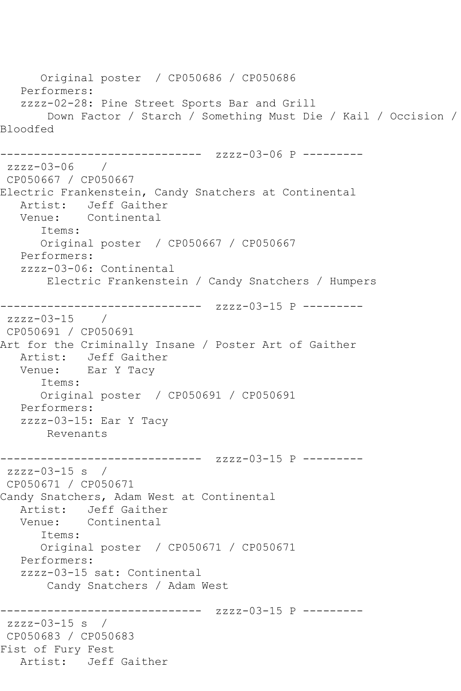```
 Original poster / CP050686 / CP050686
   Performers:
   zzzz-02-28: Pine Street Sports Bar and Grill
       Down Factor / Starch / Something Must Die / Kail / Occision / 
Bloodfed
------------------------------ zzzz-03-06 P ---------
zzzz-03-06 / 
CP050667 / CP050667
Electric Frankenstein, Candy Snatchers at Continental
   Artist: Jeff Gaither
   Venue: Continental
      Items:
      Original poster / CP050667 / CP050667
   Performers:
   zzzz-03-06: Continental
       Electric Frankenstein / Candy Snatchers / Humpers
------------------------------ zzzz-03-15 P ---------
zzzz-03-15 / 
CP050691 / CP050691
Art for the Criminally Insane / Poster Art of Gaither
   Artist: Jeff Gaither
   Venue: Ear Y Tacy
      Items:
      Original poster / CP050691 / CP050691
   Performers:
   zzzz-03-15: Ear Y Tacy
       Revenants
------------------------------ zzzz-03-15 P ---------
zzzz-03-15 s / 
CP050671 / CP050671
Candy Snatchers, Adam West at Continental
   Artist: Jeff Gaither
   Venue: Continental
      Items:
      Original poster / CP050671 / CP050671
   Performers:
   zzzz-03-15 sat: Continental
       Candy Snatchers / Adam West
------------------------------ zzzz-03-15 P ---------
zzzz-03-15 s / 
CP050683 / CP050683
Fist of Fury Fest
   Artist: Jeff Gaither
```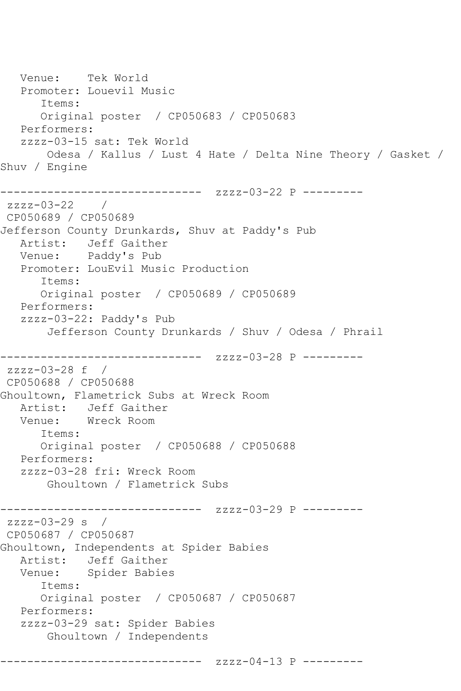Venue: Tek World Promoter: Louevil Music Items: Original poster / CP050683 / CP050683 Performers: zzzz-03-15 sat: Tek World Odesa / Kallus / Lust 4 Hate / Delta Nine Theory / Gasket / Shuv / Engine ------------------------------ zzzz-03-22 P -------- zzzz-03-22 / CP050689 / CP050689 Jefferson County Drunkards, Shuv at Paddy's Pub Artist: Jeff Gaither Venue: Paddy's Pub Promoter: LouEvil Music Production Items: Original poster / CP050689 / CP050689 Performers: zzzz-03-22: Paddy's Pub Jefferson County Drunkards / Shuv / Odesa / Phrail ------------------------------ zzzz-03-28 P -------- zzzz-03-28 f / CP050688 / CP050688 Ghoultown, Flametrick Subs at Wreck Room Artist: Jeff Gaither<br>Venue: Wreck Room Wreck Room Items: Original poster / CP050688 / CP050688 Performers: zzzz-03-28 fri: Wreck Room Ghoultown / Flametrick Subs ------------ zzzz-03-29 P --------zzzz-03-29 s / CP050687 / CP050687 Ghoultown, Independents at Spider Babies Artist: Jeff Gaither<br>Venue: Spider Babie Spider Babies Items: Original poster / CP050687 / CP050687 Performers: zzzz-03-29 sat: Spider Babies Ghoultown / Independents ------------------------------ zzzz-04-13 P ---------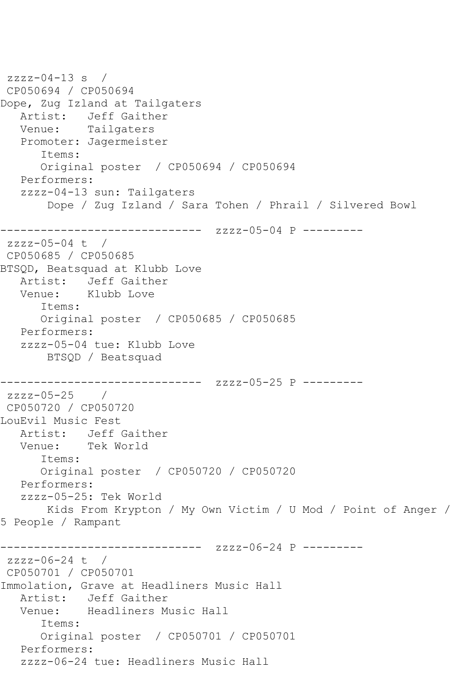```
zzzz-04-13 s /
CP050694 / CP050694
Dope, Zug Izland at Tailgaters
   Artist: Jeff Gaither
   Venue: Tailgaters
   Promoter: Jagermeister
       Items:
       Original poster / CP050694 / CP050694
   Performers:
   zzzz-04-13 sun: Tailgaters
        Dope / Zug Izland / Sara Tohen / Phrail / Silvered Bowl
------------------------------ zzzz-05-04 P ---------
zzzz-05-04 t / 
CP050685 / CP050685
BTSQD, Beatsquad at Klubb Love
   Artist: Jeff Gaither
   Venue: Klubb Love
       Items:
      Original poster / CP050685 / CP050685
   Performers:
   zzzz-05-04 tue: Klubb Love
       BTSQD / Beatsquad
         ------------------------------ zzzz-05-25 P ---------
zzzz-05-25 / 
CP050720 / CP050720
LouEvil Music Fest
   Artist: Jeff Gaither
   Venue: Tek World
       Items:
       Original poster / CP050720 / CP050720
   Performers:
   zzzz-05-25: Tek World
       Kids From Krypton / My Own Victim / U Mod / Point of Anger / 
5 People / Rampant
------------------------------ zzzz-06-24 P ---------
zzzz-06-24 t / 
CP050701 / CP050701
Immolation, Grave at Headliners Music Hall
   Artist: Jeff Gaither
   Venue: Headliners Music Hall
       Items:
      Original poster / CP050701 / CP050701
   Performers:
   zzzz-06-24 tue: Headliners Music Hall
```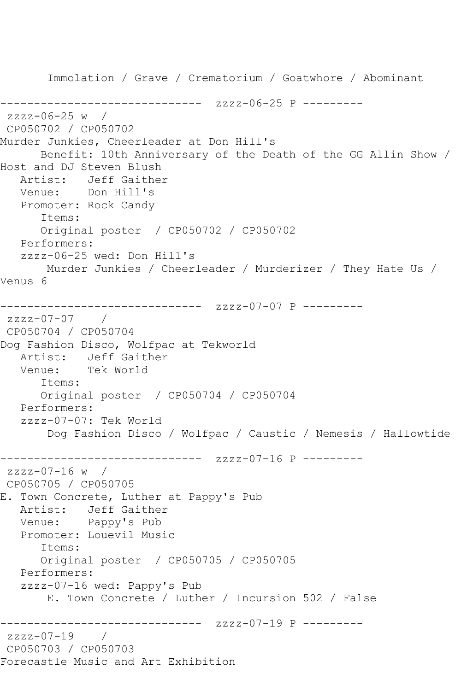Immolation / Grave / Crematorium / Goatwhore / Abominant ------------------------------ zzzz-06-25 P -------- zzzz-06-25 w / CP050702 / CP050702 Murder Junkies, Cheerleader at Don Hill's Benefit: 10th Anniversary of the Death of the GG Allin Show / Host and DJ Steven Blush Artist: Jeff Gaither Venue: Don Hill's Promoter: Rock Candy Items: Original poster / CP050702 / CP050702 Performers: zzzz-06-25 wed: Don Hill's Murder Junkies / Cheerleader / Murderizer / They Hate Us / Venus 6 ------------------------------ zzzz-07-07 P -------- zzzz-07-07 / CP050704 / CP050704 Dog Fashion Disco, Wolfpac at Tekworld Artist: Jeff Gaither<br>Venue: Tek World Tek World Items: Original poster / CP050704 / CP050704 Performers: zzzz-07-07: Tek World Dog Fashion Disco / Wolfpac / Caustic / Nemesis / Hallowtide ------------------------------ zzzz-07-16 P -------- zzzz-07-16 w / CP050705 / CP050705 E. Town Concrete, Luther at Pappy's Pub Artist: Jeff Gaither Venue: Pappy's Pub Promoter: Louevil Music Items: Original poster / CP050705 / CP050705 Performers: zzzz-07-16 wed: Pappy's Pub E. Town Concrete / Luther / Incursion 502 / False ------------------------------ zzzz-07-19 P -------- zzzz-07-19 / CP050703 / CP050703 Forecastle Music and Art Exhibition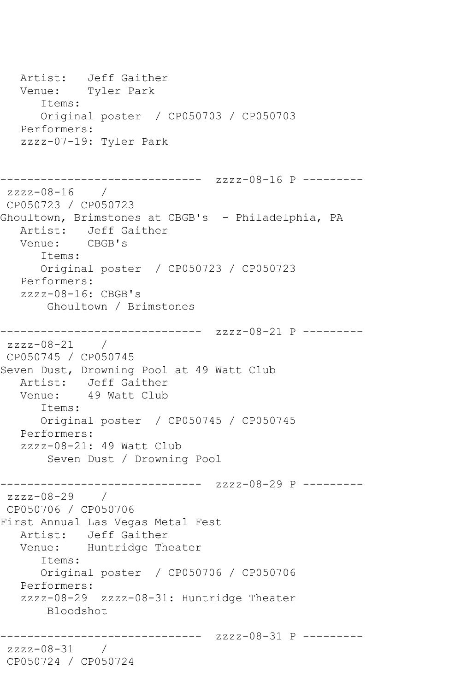Artist: Jeff Gaither Venue: Tyler Park Items: Original poster / CP050703 / CP050703 Performers: zzzz-07-19: Tyler Park ------------ zzzz-08-16 P --------zzzz-08-16 / CP050723 / CP050723 Ghoultown, Brimstones at CBGB's - Philadelphia, PA Artist: Jeff Gaither Venue: CBGB's Items: Original poster / CP050723 / CP050723 Performers: zzzz-08-16: CBGB's Ghoultown / Brimstones ------------------------------ zzzz-08-21 P -------- zzzz-08-21 / CP050745 / CP050745 Seven Dust, Drowning Pool at 49 Watt Club Artist: Jeff Gaither<br>Venue: 49 Watt Club 49 Watt Club Items: Original poster / CP050745 / CP050745 Performers: zzzz-08-21: 49 Watt Club Seven Dust / Drowning Pool ------------------------------ zzzz-08-29 P --------  $zzzz-08-29$ CP050706 / CP050706 First Annual Las Vegas Metal Fest Artist: Jeff Gaither Venue: Huntridge Theater Items: Original poster / CP050706 / CP050706 Performers: zzzz-08-29 zzzz-08-31: Huntridge Theater Bloodshot ------------------------------ zzzz-08-31 P -------- zzzz-08-31 / CP050724 / CP050724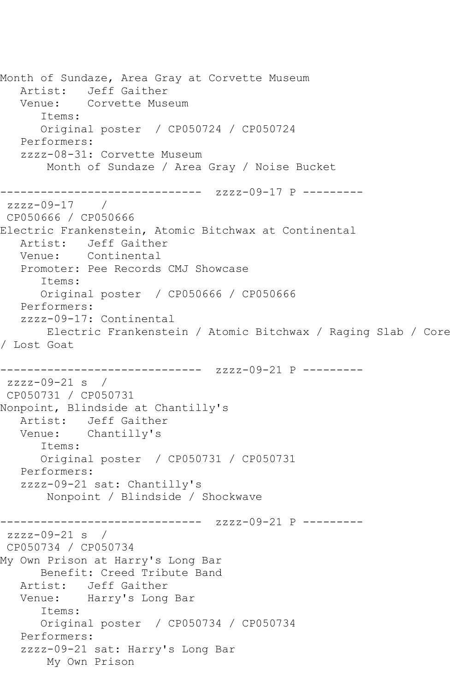```
Month of Sundaze, Area Gray at Corvette Museum
   Artist: Jeff Gaither
   Venue: Corvette Museum
      Items:
      Original poster / CP050724 / CP050724
   Performers:
   zzzz-08-31: Corvette Museum
       Month of Sundaze / Area Gray / Noise Bucket
------------------------------ zzzz-09-17 P ---------
zzzz-09-17 / 
CP050666 / CP050666
Electric Frankenstein, Atomic Bitchwax at Continental
   Artist: Jeff Gaither
   Venue: Continental
   Promoter: Pee Records CMJ Showcase
      Items:
      Original poster / CP050666 / CP050666
   Performers:
   zzzz-09-17: Continental
       Electric Frankenstein / Atomic Bitchwax / Raging Slab / Core 
/ Lost Goat
------------------------------ zzzz-09-21 P ---------
zzzz-09-21 s / 
CP050731 / CP050731
Nonpoint, Blindside at Chantilly's
   Artist: Jeff Gaither
   Venue: Chantilly's
      Items:
      Original poster / CP050731 / CP050731
   Performers:
   zzzz-09-21 sat: Chantilly's
       Nonpoint / Blindside / Shockwave
------------------------------ zzzz-09-21 P ---------
zzzz-09-21 s / 
CP050734 / CP050734
My Own Prison at Harry's Long Bar
      Benefit: Creed Tribute Band
   Artist: Jeff Gaither
   Venue: Harry's Long Bar
      Items:
      Original poster / CP050734 / CP050734
   Performers:
   zzzz-09-21 sat: Harry's Long Bar
       My Own Prison
```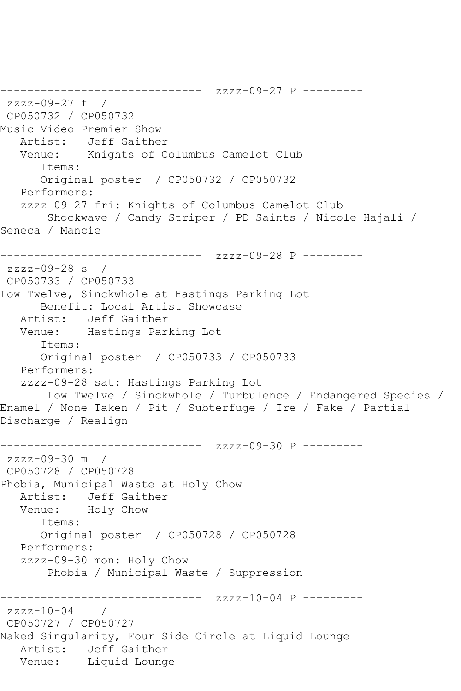------------------------------ zzzz-09-27 P -------- zzzz-09-27 f / CP050732 / CP050732 Music Video Premier Show Artist: Jeff Gaither Venue: Knights of Columbus Camelot Club Items: Original poster / CP050732 / CP050732 Performers: zzzz-09-27 fri: Knights of Columbus Camelot Club Shockwave / Candy Striper / PD Saints / Nicole Hajali / Seneca / Mancie ------------------------------ zzzz-09-28 P -------- zzzz-09-28 s / CP050733 / CP050733 Low Twelve, Sinckwhole at Hastings Parking Lot Benefit: Local Artist Showcase Artist: Jeff Gaither Venue: Hastings Parking Lot Items: Original poster / CP050733 / CP050733 Performers: zzzz-09-28 sat: Hastings Parking Lot Low Twelve / Sinckwhole / Turbulence / Endangered Species / Enamel / None Taken / Pit / Subterfuge / Ire / Fake / Partial Discharge / Realign ------------------------------ zzzz-09-30 P -------- zzzz-09-30 m / CP050728 / CP050728 Phobia, Municipal Waste at Holy Chow Artist: Jeff Gaither Venue: Holy Chow Items: Original poster / CP050728 / CP050728 Performers: zzzz-09-30 mon: Holy Chow Phobia / Municipal Waste / Suppression ------------------------------ zzzz-10-04 P -------- zzzz-10-04 / CP050727 / CP050727 Naked Singularity, Four Side Circle at Liquid Lounge Artist: Jeff Gaither Venue: Liquid Lounge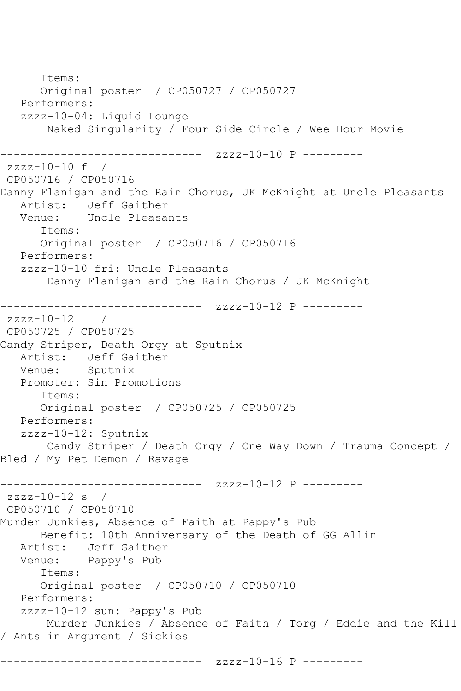Items: Original poster / CP050727 / CP050727 Performers: zzzz-10-04: Liquid Lounge Naked Singularity / Four Side Circle / Wee Hour Movie ------------------------------ zzzz-10-10 P --------  $zzzz-10-10$  f / CP050716 / CP050716 Danny Flanigan and the Rain Chorus, JK McKnight at Uncle Pleasants Artist: Jeff Gaither Venue: Uncle Pleasants Items: Original poster / CP050716 / CP050716 Performers: zzzz-10-10 fri: Uncle Pleasants Danny Flanigan and the Rain Chorus / JK McKnight ------------------------------ zzzz-10-12 P --------  $zzzz-10-12$  / CP050725 / CP050725 Candy Striper, Death Orgy at Sputnix Artist: Jeff Gaither Venue: Sputnix Promoter: Sin Promotions Items: Original poster / CP050725 / CP050725 Performers: zzzz-10-12: Sputnix Candy Striper / Death Orgy / One Way Down / Trauma Concept / Bled / My Pet Demon / Ravage ------------------------------ zzzz-10-12 P --------  $zzzz-10-12$  s / CP050710 / CP050710 Murder Junkies, Absence of Faith at Pappy's Pub Benefit: 10th Anniversary of the Death of GG Allin Artist: Jeff Gaither Venue: Pappy's Pub Items: Original poster / CP050710 / CP050710 Performers: zzzz-10-12 sun: Pappy's Pub Murder Junkies / Absence of Faith / Torg / Eddie and the Kill / Ants in Argument / Sickies ------------------ zzzz-10-16 P ---------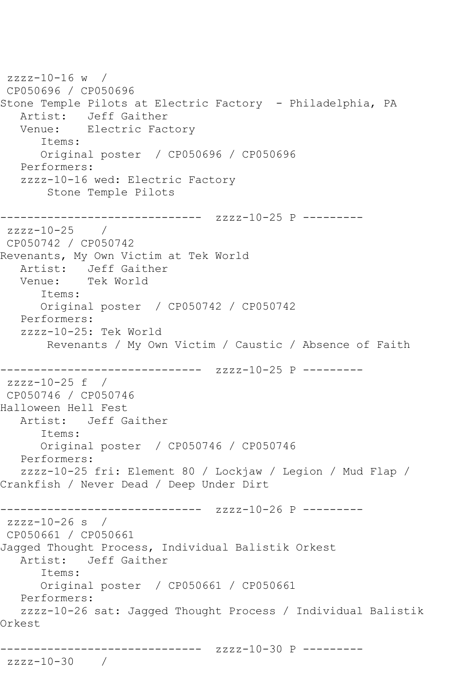zzzz-10-16 w / CP050696 / CP050696 Stone Temple Pilots at Electric Factory - Philadelphia, PA Artist: Jeff Gaither<br>Venue: Electric Fac Electric Factory Items: Original poster / CP050696 / CP050696 Performers: zzzz-10-16 wed: Electric Factory Stone Temple Pilots ------------------------------ zzzz-10-25 P -------- zzzz-10-25 / CP050742 / CP050742 Revenants, My Own Victim at Tek World Artist: Jeff Gaither Venue: Tek World Items: Original poster / CP050742 / CP050742 Performers: zzzz-10-25: Tek World Revenants / My Own Victim / Caustic / Absence of Faith ------------------------------ zzzz-10-25 P -------- zzzz-10-25 f / CP050746 / CP050746 Halloween Hell Fest Artist: Jeff Gaither Items: Original poster / CP050746 / CP050746 Performers: zzzz-10-25 fri: Element 80 / Lockjaw / Legion / Mud Flap / Crankfish / Never Dead / Deep Under Dirt ------------------------------ zzzz-10-26 P -------- zzzz-10-26 s / CP050661 / CP050661 Jagged Thought Process, Individual Balistik Orkest Artist: Jeff Gaither Items: Original poster / CP050661 / CP050661 Performers: zzzz-10-26 sat: Jagged Thought Process / Individual Balistik Orkest ------------------------------ zzzz-10-30 P -------- zzzz-10-30 /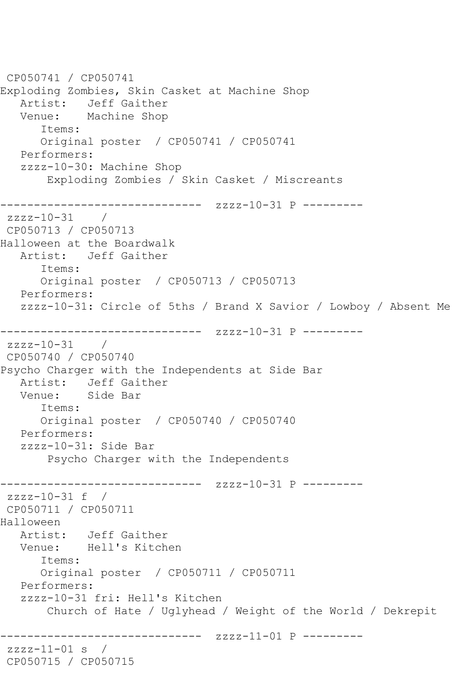```
CP050741 / CP050741
Exploding Zombies, Skin Casket at Machine Shop
   Artist: Jeff Gaither
   Venue: Machine Shop
       Items:
      Original poster / CP050741 / CP050741
   Performers:
   zzzz-10-30: Machine Shop
        Exploding Zombies / Skin Casket / Miscreants
------------------------------ zzzz-10-31 P ---------
zzzz-10-31 / 
CP050713 / CP050713
Halloween at the Boardwalk
   Artist: Jeff Gaither
       Items:
      Original poster / CP050713 / CP050713
   Performers:
   zzzz-10-31: Circle of 5ths / Brand X Savior / Lowboy / Absent Me
------------------------------ zzzz-10-31 P ---------
zzzz-10-31 / 
CP050740 / CP050740
Psycho Charger with the Independents at Side Bar
  Artist: Jeff Gaither<br>Venue: Side Bar
            Side Bar
       Items:
      Original poster / CP050740 / CP050740
   Performers:
   zzzz-10-31: Side Bar
        Psycho Charger with the Independents
------------------------------ zzzz-10-31 P ---------
zzzz-10-31 f / 
CP050711 / CP050711
Halloween
   Artist: Jeff Gaither
   Venue: Hell's Kitchen
      Items:
       Original poster / CP050711 / CP050711
   Performers:
   zzzz-10-31 fri: Hell's Kitchen
        Church of Hate / Uglyhead / Weight of the World / Dekrepit
                   ------------------------------ zzzz-11-01 P ---------
zzzz-11-01 s /
CP050715 / CP050715
```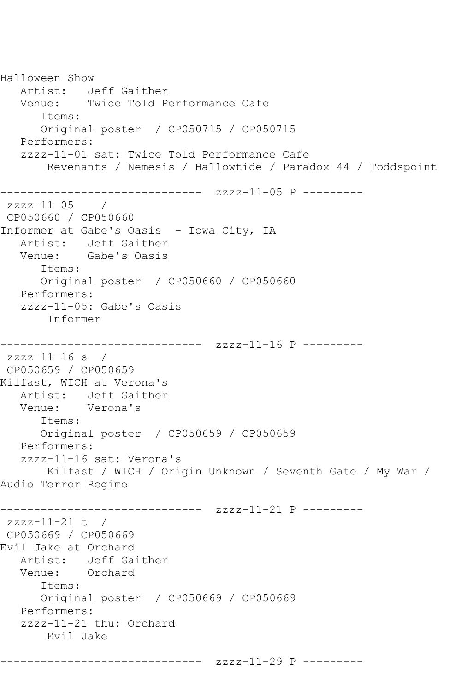Halloween Show Artist: Jeff Gaither Venue: Twice Told Performance Cafe Items: Original poster / CP050715 / CP050715 Performers: zzzz-11-01 sat: Twice Told Performance Cafe Revenants / Nemesis / Hallowtide / Paradox 44 / Toddspoint ------------------------------ zzzz-11-05 P -------- zzzz-11-05 / CP050660 / CP050660 Informer at Gabe's Oasis - Iowa City, IA Artist: Jeff Gaither<br>Venue: Gabe's Oasis Gabe's Oasis Items: Original poster / CP050660 / CP050660 Performers: zzzz-11-05: Gabe's Oasis Informer ------------------------------ zzzz-11-16 P -------- zzzz-11-16 s / CP050659 / CP050659 Kilfast, WICH at Verona's Artist: Jeff Gaither Venue: Verona's Items: Original poster / CP050659 / CP050659 Performers: zzzz-11-16 sat: Verona's Kilfast / WICH / Origin Unknown / Seventh Gate / My War / Audio Terror Regime ------------------------------ zzzz-11-21 P -------- zzzz-11-21 t / CP050669 / CP050669 Evil Jake at Orchard Artist: Jeff Gaither Venue: Orchard Items: Original poster / CP050669 / CP050669 Performers: zzzz-11-21 thu: Orchard Evil Jake ------------------------------ zzzz-11-29 P ---------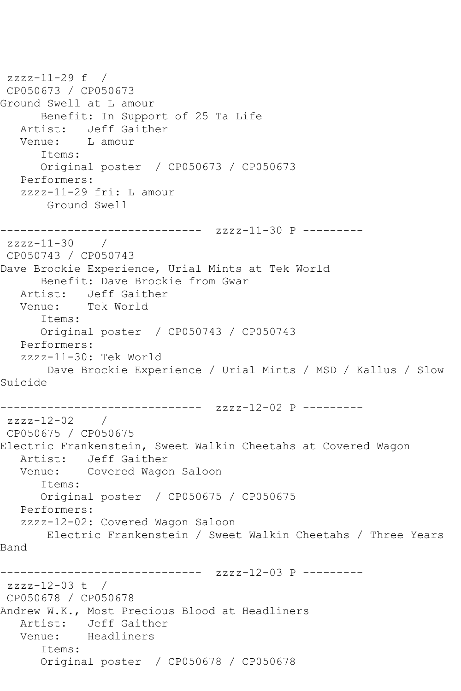```
zzzz-11-29 f / 
CP050673 / CP050673
Ground Swell at L amour
      Benefit: In Support of 25 Ta Life
   Artist: Jeff Gaither
   Venue: L amour
      Items:
      Original poster / CP050673 / CP050673
   Performers:
   zzzz-11-29 fri: L amour
       Ground Swell
------------------------------ zzzz-11-30 P ---------
zzzz-11-30 / 
CP050743 / CP050743
Dave Brockie Experience, Urial Mints at Tek World
      Benefit: Dave Brockie from Gwar
   Artist: Jeff Gaither
   Venue: Tek World
      Items:
      Original poster / CP050743 / CP050743
   Performers:
   zzzz-11-30: Tek World
       Dave Brockie Experience / Urial Mints / MSD / Kallus / Slow 
Suicide
------------------------------ zzzz-12-02 P ---------
zzzz-12-02 / 
CP050675 / CP050675
Electric Frankenstein, Sweet Walkin Cheetahs at Covered Wagon
   Artist: Jeff Gaither
   Venue: Covered Wagon Saloon
      Items:
      Original poster / CP050675 / CP050675
   Performers:
   zzzz-12-02: Covered Wagon Saloon
      Electric Frankenstein / Sweet Walkin Cheetahs / Three Years 
Band
------------------------------ zzzz-12-03 P ---------
zzzz-12-03 t / 
CP050678 / CP050678
Andrew W.K., Most Precious Blood at Headliners
   Artist: Jeff Gaither
   Venue: Headliners
      Items:
      Original poster / CP050678 / CP050678
```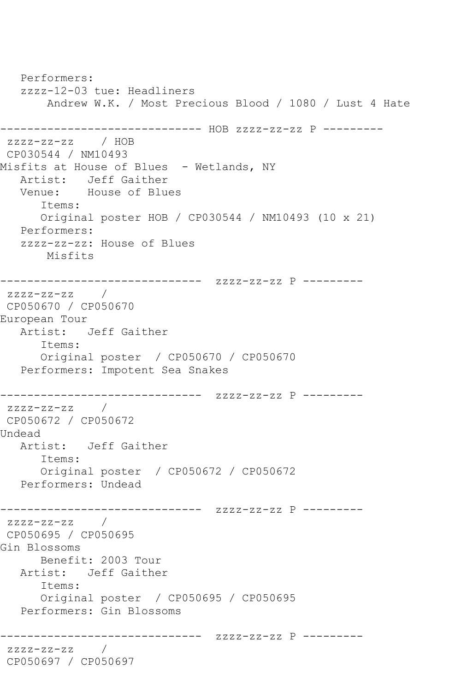Performers: zzzz-12-03 tue: Headliners Andrew W.K. / Most Precious Blood / 1080 / Lust 4 Hate ------------------------------ HOB zzzz-zz-zz P -------- zzzz-zz-zz / HOB CP030544 / NM10493 Misfits at House of Blues - Wetlands, NY Artist: Jeff Gaither<br>Venue: House of Blue House of Blues Items: Original poster HOB / CP030544 / NM10493 (10 x 21) Performers: zzzz-zz-zz: House of Blues Misfits ------------------------------ zzzz-zz-zz P -------- zzzz-zz-zz / CP050670 / CP050670 European Tour Artist: Jeff Gaither Items: Original poster / CP050670 / CP050670 Performers: Impotent Sea Snakes ------------------------------ zzzz-zz-zz P -------- zzzz-zz-zz / CP050672 / CP050672 Undead Artist: Jeff Gaither Items: Original poster / CP050672 / CP050672 Performers: Undead ------------------------------ zzzz-zz-zz P -------- zzzz-zz-zz / CP050695 / CP050695 Gin Blossoms Benefit: 2003 Tour Artist: Jeff Gaither Items: Original poster / CP050695 / CP050695 Performers: Gin Blossoms ------------------------------ zzzz-zz-zz P -------- zzzz-zz-zz / CP050697 / CP050697